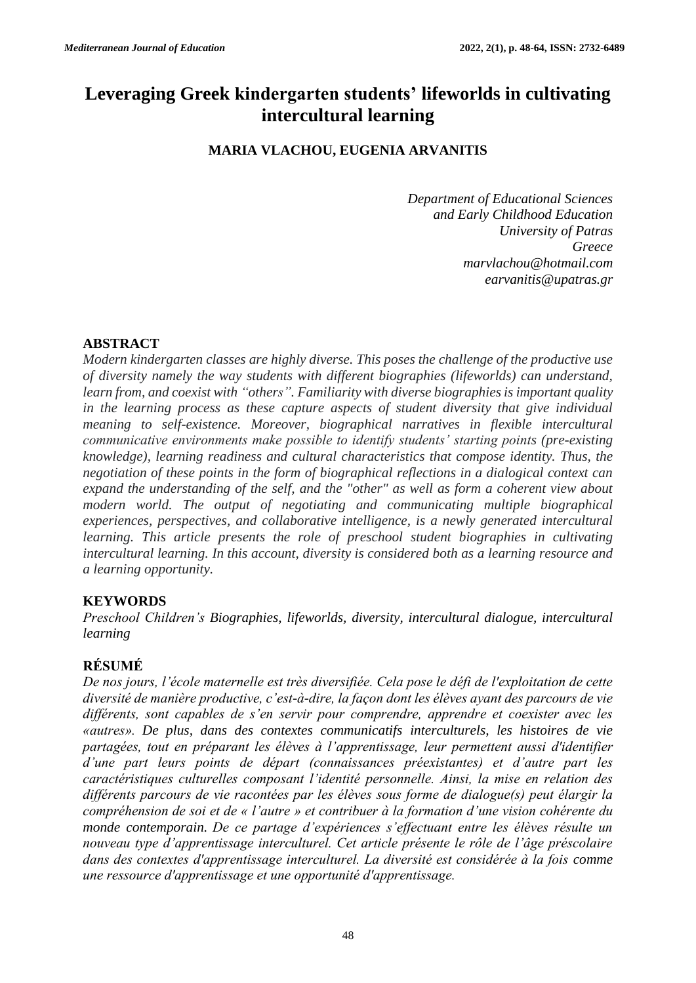# **Leveraging Greek kindergarten students' lifeworlds in cultivating intercultural learning**

# **MARIA VLACHOU, EUGENIA ARVANITIS**

*Department of Educational Sciences and Early Childhood Education University of Patras Greece [marvlachou@hotmail.com](mailto:marvlachou@hotmail.com) [earvanitis@upatras.gr](mailto:earvanitis@upatras.gr)*

# **ABSTRACT**

*Modern kindergarten classes are highly diverse. This poses the challenge of the productive use of diversity namely the way students with different biographies (lifeworlds) can understand, learn from, and coexist with "others". Familiarity with diverse biographies is important quality in the learning process as these capture aspects of student diversity that give individual meaning to self-existence. Moreover, biographical narratives in flexible intercultural communicative environments make possible to identify students' starting points (pre-existing knowledge), learning readiness and cultural characteristics that compose identity. Thus, the negotiation of these points in the form of biographical reflections in a dialogical context can expand the understanding of the self, and the "other" as well as form a coherent view about modern world. The output of negotiating and communicating multiple biographical experiences, perspectives, and collaborative intelligence, is a newly generated intercultural learning. This article presents the role of preschool student biographies in cultivating intercultural learning. In this account, diversity is considered both as a learning resource and a learning opportunity.* 

## **KEYWORDS**

*Preschool Children's Biographies, lifeworlds, diversity, intercultural dialogue, intercultural learning* 

# **RÉSUMÉ**

*De nos jours, l'école maternelle est très diversifiée. Cela pose le défi de l'exploitation de cette diversité de manière productive, c'est-à-dire, la façon dont les élèves ayant des parcours de vie différents, sont capables de s'en servir pour comprendre, apprendre et coexister avec les «autres». De plus, dans des contextes communicatifs interculturels, les histoires de vie partagées, tout en préparant les élèves à l'apprentissage, leur permettent aussi d'identifier d'une part leurs points de départ (connaissances préexistantes) et d'autre part les caractéristiques culturelles composant l'identité personnelle. Ainsi, la mise en relation des différents parcours de vie racontées par les élèves sous forme de dialogue(s) peut élargir la compréhension de soi et de « l'autre » et contribuer à la formation d'une vision cohérente du monde contemporain. De ce partage d'expériences s'effectuant entre les élèves résulte un nouveau type d'apprentissage interculturel. Cet article présente le rôle de l'âge préscolaire dans des contextes d'apprentissage interculturel. La diversité est considérée à la fois comme une ressource d'apprentissage et une opportunité d'apprentissage.*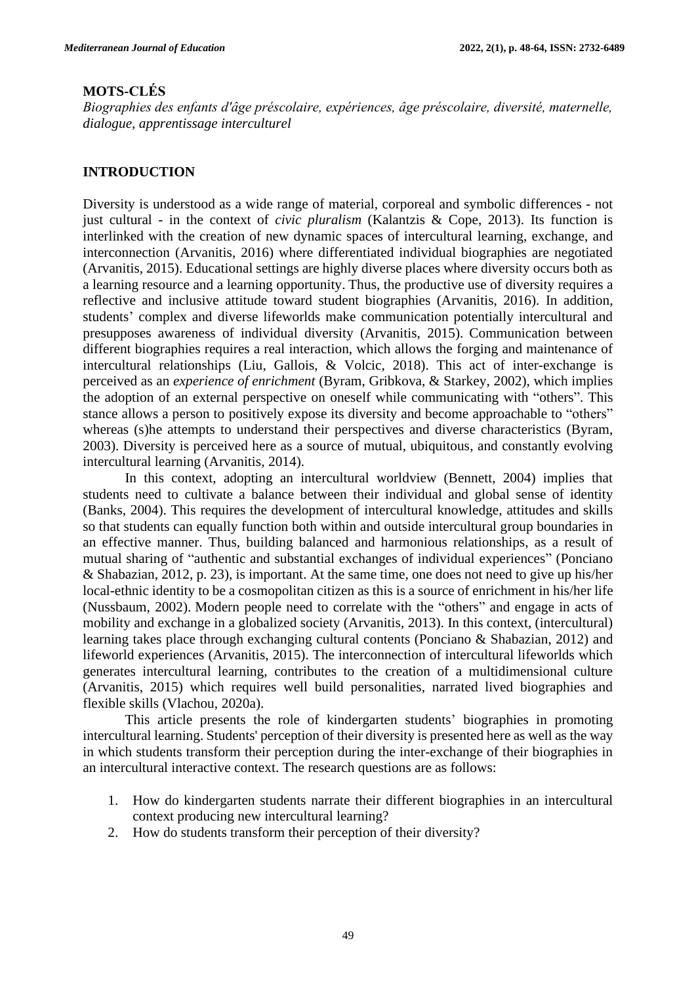## **MOTS-CLÉS**

*Biographies des enfants d'âge préscolaire, expériences, âge préscolaire, diversité, maternelle, dialogue, apprentissage interculturel*

#### **INTRODUCTION**

Diversity is understood as a wide range of material, corporeal and symbolic differences - not just cultural - in the context of *civic pluralism* (Kalantzis & Cope, 2013). Its function is interlinked with the creation of new dynamic spaces of intercultural learning, exchange, and interconnection (Arvanitis, 2016) where differentiated individual biographies are negotiated (Arvanitis, 2015). Educational settings are highly diverse places where diversity occurs both as a learning resource and a learning opportunity. Thus, the productive use of diversity requires a reflective and inclusive attitude toward student biographies (Arvanitis, 2016). In addition, students' complex and diverse lifeworlds make communication potentially intercultural and presupposes awareness of individual diversity (Arvanitis, 2015). Communication between different biographies requires a real interaction, which allows the forging and maintenance of intercultural relationships (Liu, Gallois, & Volcic, 2018). This act of inter-exchange is perceived as an *experience of enrichment* (Byram, Gribkova, & Starkey, 2002), which implies the adoption of an external perspective on oneself while communicating with "others". This stance allows a person to positively expose its diversity and become approachable to "others" whereas (s)he attempts to understand their perspectives and diverse characteristics (Byram, 2003). Diversity is perceived here as a source of mutual, ubiquitous, and constantly evolving intercultural learning (Arvanitis, 2014).

In this context, adopting an intercultural worldview (Bennett, 2004) implies that students need to cultivate a balance between their individual and global sense of identity (Banks, 2004). This requires the development of intercultural knowledge, attitudes and skills so that students can equally function both within and outside intercultural group boundaries in an effective manner. Thus, building balanced and harmonious relationships, as a result of mutual sharing of "authentic and substantial exchanges of individual experiences" (Ponciano & Shabazian, 2012, p. 23), is important. At the same time, one does not need to give up his/her local-ethnic identity to be a cosmopolitan citizen as this is a source of enrichment in his/her life (Nussbaum, 2002). Modern people need to correlate with the "others" and engage in acts of mobility and exchange in a globalized society (Arvanitis, 2013). In this context, (intercultural) learning takes place through exchanging cultural contents (Ponciano & Shabazian, 2012) and lifeworld experiences (Arvanitis, 2015). The interconnection of intercultural lifeworlds which generates intercultural learning, contributes to the creation of a multidimensional culture (Arvanitis, 2015) which requires well build personalities, narrated lived biographies and flexible skills (Vlachou, 2020a).

This article presents the role of kindergarten students' biographies in promoting intercultural learning. Students' perception of their diversity is presented here as well as the way in which students transform their perception during the inter-exchange of their biographies in an intercultural interactive context. The research questions are as follows:

- 1. How do kindergarten students narrate their different biographies in an intercultural context producing new intercultural learning?
- 2. How do students transform their perception of their diversity?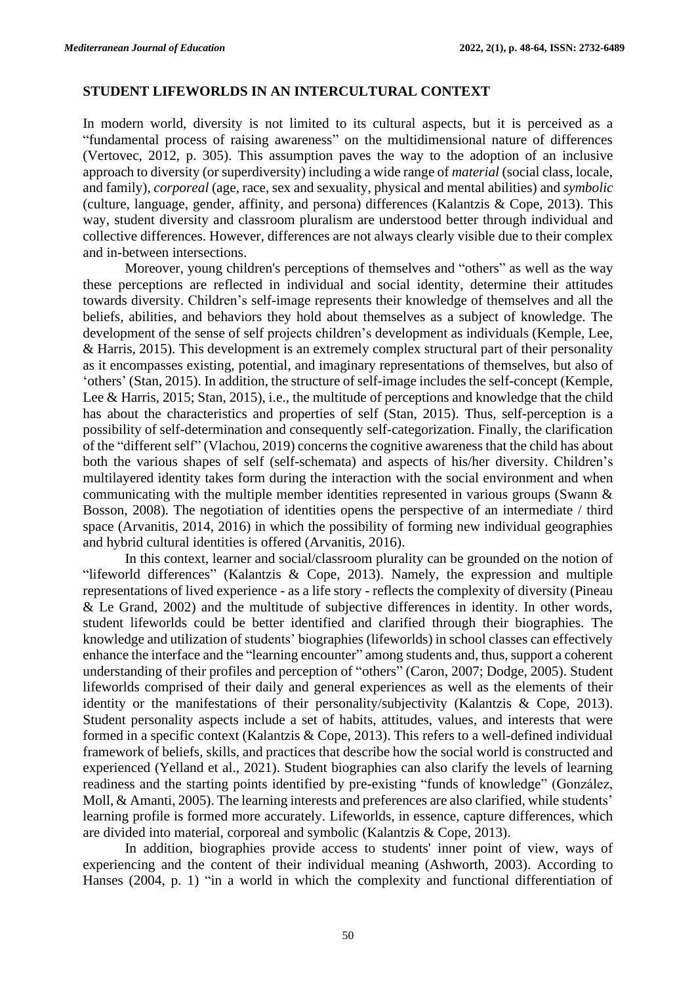#### **STUDENT LIFEWORLDS IN AN INTERCULTURAL CONTEXT**

In modern world, diversity is not limited to its cultural aspects, but it is perceived as a "fundamental process of raising awareness" on the multidimensional nature of differences (Vertovec, 2012, p. 305). This assumption paves the way to the adoption of an inclusive approach to diversity (or superdiversity) including a wide range of *material* (social class, locale, and family), *corporeal* (age, race, sex and sexuality, physical and mental abilities) and *symbolic* (culture, language, gender, affinity, and persona) differences (Kalantzis & Cope, 2013). This way, student diversity and classroom pluralism are understood better through individual and collective differences. However, differences are not always clearly visible due to their complex and in-between intersections.

Moreover, young children's perceptions of themselves and "others" as well as the way these perceptions are reflected in individual and social identity, determine their attitudes towards diversity. Children's self-image represents their knowledge of themselves and all the beliefs, abilities, and behaviors they hold about themselves as a subject of knowledge. The development of the sense of self projects children's development as individuals (Kemple, Lee, & Harris, 2015). This development is an extremely complex structural part of their personality as it encompasses existing, potential, and imaginary representations of themselves, but also of 'others' (Stan, 2015). In addition, the structure of self-image includes the self-concept (Kemple, Lee & Harris, 2015; Stan, 2015), i.e., the multitude of perceptions and knowledge that the child has about the characteristics and properties of self (Stan, 2015). Thus, self-perception is a possibility of self-determination and consequently self-categorization. Finally, the clarification of the "different self" (Vlachou, 2019) concerns the cognitive awareness that the child has about both the various shapes of self (self-schemata) and aspects of his/her diversity. Children's multilayered identity takes form during the interaction with the social environment and when communicating with the multiple member identities represented in various groups (Swann & Bosson, 2008). The negotiation of identities opens the perspective of an intermediate / third space (Arvanitis, 2014, 2016) in which the possibility of forming new individual geographies and hybrid cultural identities is offered (Arvanitis, 2016).

In this context, learner and social/classroom plurality can be grounded on the notion of "lifeworld differences" (Kalantzis & Cope, 2013). Namely, the expression and multiple representations of lived experience - as a life story - reflects the complexity of diversity (Pineau & Le Grand, 2002) and the multitude of subjective differences in identity. In other words, student lifeworlds could be better identified and clarified through their biographies. The knowledge and utilization of students' biographies (lifeworlds) in school classes can effectively enhance the interface and the "learning encounter" among students and, thus, support a coherent understanding of their profiles and perception of "others" (Caron, 2007; Dodge, 2005). Student lifeworlds comprised of their daily and general experiences as well as the elements of their identity or the manifestations of their personality/subjectivity (Kalantzis & Cope, 2013). Student personality aspects include a set of habits, attitudes, values, and interests that were formed in a specific context (Kalantzis & Cope, 2013). This refers to a well-defined individual framework of beliefs, skills, and practices that describe how the social world is constructed and experienced (Yelland et al., 2021). Student biographies can also clarify the levels of learning readiness and the starting points identified by pre-existing "funds of knowledge" (González, Moll, & Amanti, 2005). The learning interests and preferences are also clarified, while students' learning profile is formed more accurately. Lifeworlds, in essence, capture differences, which are divided into material, corporeal and symbolic (Kalantzis & Cope, 2013).

In addition, biographies provide access to students' inner point of view, ways of experiencing and the content of their individual meaning (Ashworth, 2003). According to Hanses (2004, p. 1) "in a world in which the complexity and functional differentiation of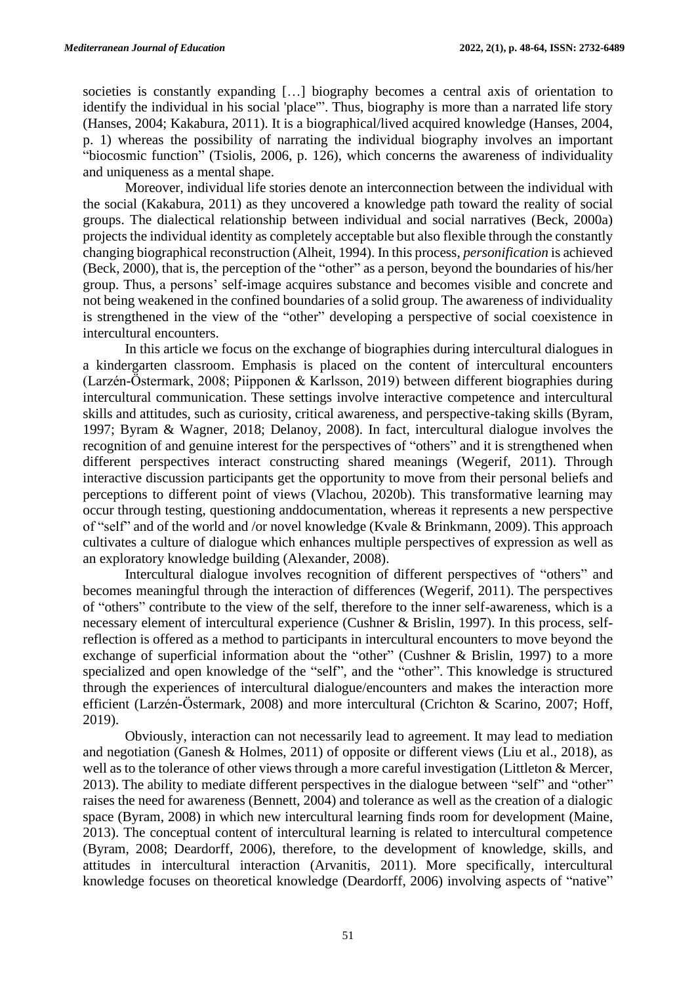societies is constantly expanding […] biography becomes a central axis of orientation to identify the individual in his social 'place'". Thus, biography is more than a narrated life story (Hanses, 2004; Kakabura, 2011). It is a biographical/lived acquired knowledge (Hanses, 2004, p. 1) whereas the possibility of narrating the individual biography involves an important "biocosmic function" (Tsiolis, 2006, p. 126), which concerns the awareness of individuality and uniqueness as a mental shape.

Moreover, individual life stories denote an interconnection between the individual with the social (Kakabura, 2011) as they uncovered a knowledge path toward the reality of social groups. The dialectical relationship between individual and social narratives (Beck, 2000a) projects the individual identity as completely acceptable but also flexible through the constantly changing biographical reconstruction (Alheit, 1994). In this process, *personification* is achieved (Beck, 2000), that is, the perception of the "other" as a person, beyond the boundaries of his/her group. Thus, a persons' self-image acquires substance and becomes visible and concrete and not being weakened in the confined boundaries of a solid group. The awareness of individuality is strengthened in the view of the "other" developing a perspective of social coexistence in intercultural encounters.

In this article we focus on the exchange of biographies during intercultural dialogues in a kindergarten classroom. Emphasis is placed on the content of intercultural encounters (Larzén-Östermark, 2008; Piipponen & Karlsson, 2019) between different biographies during intercultural communication. These settings involve interactive competence and intercultural skills and attitudes, such as curiosity, critical awareness, and perspective-taking skills (Byram, 1997; Byram & Wagner, 2018; Delanoy, 2008). In fact, intercultural dialogue involves the recognition of and genuine interest for the perspectives of "others" and it is strengthened when different perspectives interact constructing shared meanings (Wegerif, 2011). Through interactive discussion participants get the opportunity to move from their personal beliefs and perceptions to different point of views (Vlachou, 2020b). This transformative learning may occur through testing, questioning anddocumentation, whereas it represents a new perspective of "self" and of the world and /or novel knowledge (Kvale & Brinkmann, 2009). This approach cultivates a culture of dialogue which enhances multiple perspectives of expression as well as an exploratory knowledge building (Alexander, 2008).

Intercultural dialogue involves recognition of different perspectives of "others" and becomes meaningful through the interaction of differences (Wegerif, 2011). The perspectives of "others" contribute to the view of the self, therefore to the inner self-awareness, which is a necessary element of intercultural experience (Cushner & Brislin, 1997). In this process, selfreflection is offered as a method to participants in intercultural encounters to move beyond the exchange of superficial information about the "other" (Cushner & Brislin, 1997) to a more specialized and open knowledge of the "self", and the "other". This knowledge is structured through the experiences of intercultural dialogue/encounters and makes the interaction more efficient (Larzén-Östermark, 2008) and more intercultural (Crichton & Scarino, 2007; Hoff, 2019).

Obviously, interaction can not necessarily lead to agreement. It may lead to mediation and negotiation (Ganesh & Holmes, 2011) of opposite or different views (Liu et al., 2018), as well as to the tolerance of other views through a more careful investigation (Littleton & Mercer, 2013). The ability to mediate different perspectives in the dialogue between "self" and "other" raises the need for awareness (Bennett, 2004) and tolerance as well as the creation of a dialogic space (Byram, 2008) in which new intercultural learning finds room for development (Maine, 2013). The conceptual content of intercultural learning is related to intercultural competence (Byram, 2008; Deardorff, 2006), therefore, to the development of knowledge, skills, and attitudes in intercultural interaction (Arvanitis, 2011). More specifically, intercultural knowledge focuses on theoretical knowledge (Deardorff, 2006) involving aspects of "native"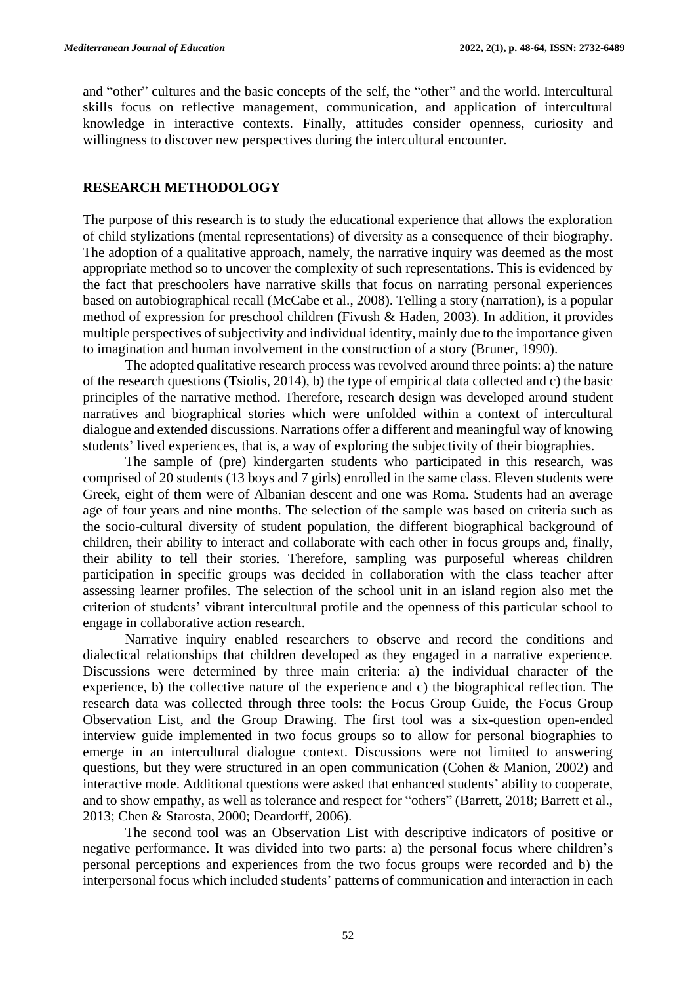and "other" cultures and the basic concepts of the self, the "other" and the world. Intercultural skills focus on reflective management, communication, and application of intercultural knowledge in interactive contexts. Finally, attitudes consider openness, curiosity and willingness to discover new perspectives during the intercultural encounter.

#### **RESEARCH METHODOLOGY**

The purpose of this research is to study the educational experience that allows the exploration of child stylizations (mental representations) of diversity as a consequence of their biography. The adoption of a qualitative approach, namely, the narrative inquiry was deemed as the most appropriate method so to uncover the complexity of such representations. This is evidenced by the fact that preschoolers have narrative skills that focus on narrating personal experiences based on autobiographical recall (McCabe et al., 2008). Telling a story (narration), is a popular method of expression for preschool children (Fivush & Haden, 2003). In addition, it provides multiple perspectives of subjectivity and individual identity, mainly due to the importance given to imagination and human involvement in the construction of a story (Bruner, 1990).

The adopted qualitative research process was revolved around three points: a) the nature of the research questions (Tsiolis, 2014), b) the type of empirical data collected and c) the basic principles of the narrative method. Therefore, research design was developed around student narratives and biographical stories which were unfolded within a context of intercultural dialogue and extended discussions. Narrations offer a different and meaningful way of knowing students' lived experiences, that is, a way of exploring the subjectivity of their biographies.

The sample of (pre) kindergarten students who participated in this research, was comprised of 20 students (13 boys and 7 girls) enrolled in the same class. Eleven students were Greek, eight of them were of Albanian descent and one was Roma. Students had an average age of four years and nine months. The selection of the sample was based on criteria such as the socio-cultural diversity of student population, the different biographical background of children, their ability to interact and collaborate with each other in focus groups and, finally, their ability to tell their stories. Therefore, sampling was purposeful whereas children participation in specific groups was decided in collaboration with the class teacher after assessing learner profiles. The selection of the school unit in an island region also met the criterion of students' vibrant intercultural profile and the openness of this particular school to engage in collaborative action research.

Narrative inquiry enabled researchers to observe and record the conditions and dialectical relationships that children developed as they engaged in a narrative experience. Discussions were determined by three main criteria: a) the individual character of the experience, b) the collective nature of the experience and c) the biographical reflection. The research data was collected through three tools: the Focus Group Guide, the Focus Group Observation List, and the Group Drawing. The first tool was a six-question open-ended interview guide implemented in two focus groups so to allow for personal biographies to emerge in an intercultural dialogue context. Discussions were not limited to answering questions, but they were structured in an open communication (Cohen & Manion, 2002) and interactive mode. Additional questions were asked that enhanced students' ability to cooperate, and to show empathy, as well as tolerance and respect for "others" (Barrett, 2018; Barrett et al., 2013; Chen & Starosta, 2000; Deardorff, 2006).

The second tool was an Observation List with descriptive indicators of positive or negative performance. It was divided into two parts: a) the personal focus where children's personal perceptions and experiences from the two focus groups were recorded and b) the interpersonal focus which included students' patterns of communication and interaction in each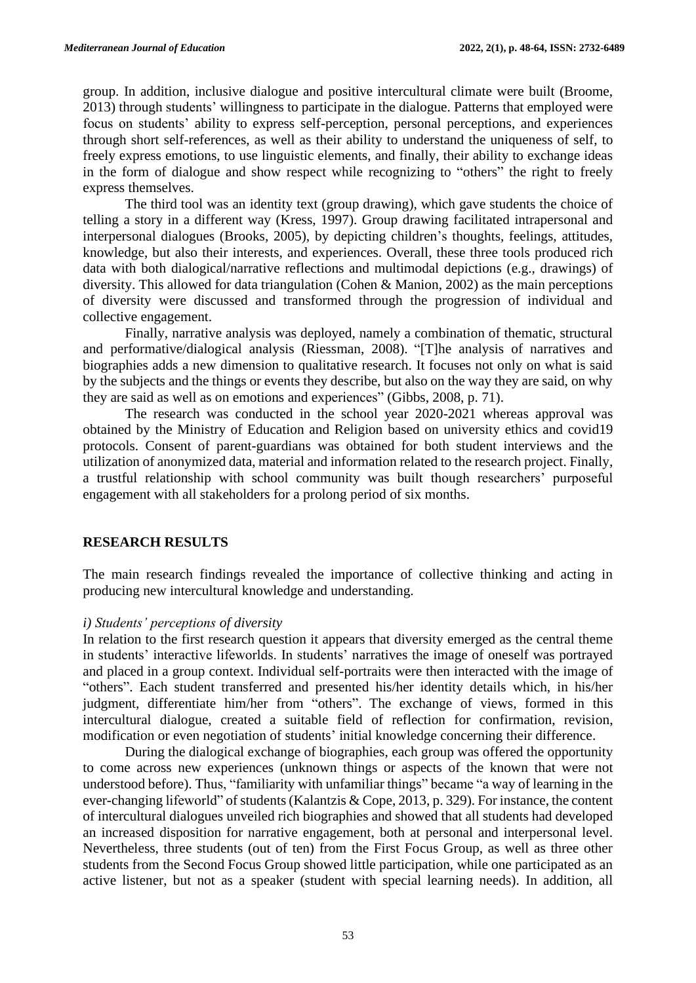group. In addition, inclusive dialogue and positive intercultural climate were built (Broome, 2013) through students' willingness to participate in the dialogue. Patterns that employed were focus on students' ability to express self-perception, personal perceptions, and experiences through short self-references, as well as their ability to understand the uniqueness of self, to freely express emotions, to use linguistic elements, and finally, their ability to exchange ideas in the form of dialogue and show respect while recognizing to "others" the right to freely express themselves.

The third tool was an identity text (group drawing), which gave students the choice of telling a story in a different way (Kress, 1997). Group drawing facilitated intrapersonal and interpersonal dialogues (Brooks, 2005), by depicting children's thoughts, feelings, attitudes, knowledge, but also their interests, and experiences. Overall, these three tools produced rich data with both dialogical/narrative reflections and multimodal depictions (e.g., drawings) of diversity. This allowed for data triangulation (Cohen & Manion, 2002) as the main perceptions of diversity were discussed and transformed through the progression of individual and collective engagement.

Finally, narrative analysis was deployed, namely a combination of thematic, structural and performative/dialogical analysis (Riessman, 2008). "[T]he analysis of narratives and biographies adds a new dimension to qualitative research. It focuses not only on what is said by the subjects and the things or events they describe, but also on the way they are said, on why they are said as well as on emotions and experiences" (Gibbs, 2008, p. 71).

The research was conducted in the school year 2020-2021 whereas approval was obtained by the Ministry of Education and Religion based on university ethics and covid19 protocols. Consent of parent-guardians was obtained for both student interviews and the utilization of anonymized data, material and information related to the research project. Finally, a trustful relationship with school community was built though researchers' purposeful engagement with all stakeholders for a prolong period of six months.

### **RESEARCH RESULTS**

The main research findings revealed the importance of collective thinking and acting in producing new intercultural knowledge and understanding.

#### *i) Students' perceptions of diversity*

In relation to the first research question it appears that diversity emerged as the central theme in students' interactive lifeworlds. In students' narratives the image of oneself was portrayed and placed in a group context. Individual self-portraits were then interacted with the image of "others". Each student transferred and presented his/her identity details which, in his/her judgment, differentiate him/her from "others". The exchange of views, formed in this intercultural dialogue, created a suitable field of reflection for confirmation, revision, modification or even negotiation of students' initial knowledge concerning their difference.

During the dialogical exchange of biographies, each group was offered the opportunity to come across new experiences (unknown things or aspects of the known that were not understood before). Thus, "familiarity with unfamiliar things" became "a way of learning in the ever-changing lifeworld" of students (Kalantzis & Cope, 2013, p. 329). For instance, the content of intercultural dialogues unveiled rich biographies and showed that all students had developed an increased disposition for narrative engagement, both at personal and interpersonal level. Nevertheless, three students (out of ten) from the First Focus Group, as well as three other students from the Second Focus Group showed little participation, while one participated as an active listener, but not as a speaker (student with special learning needs). In addition, all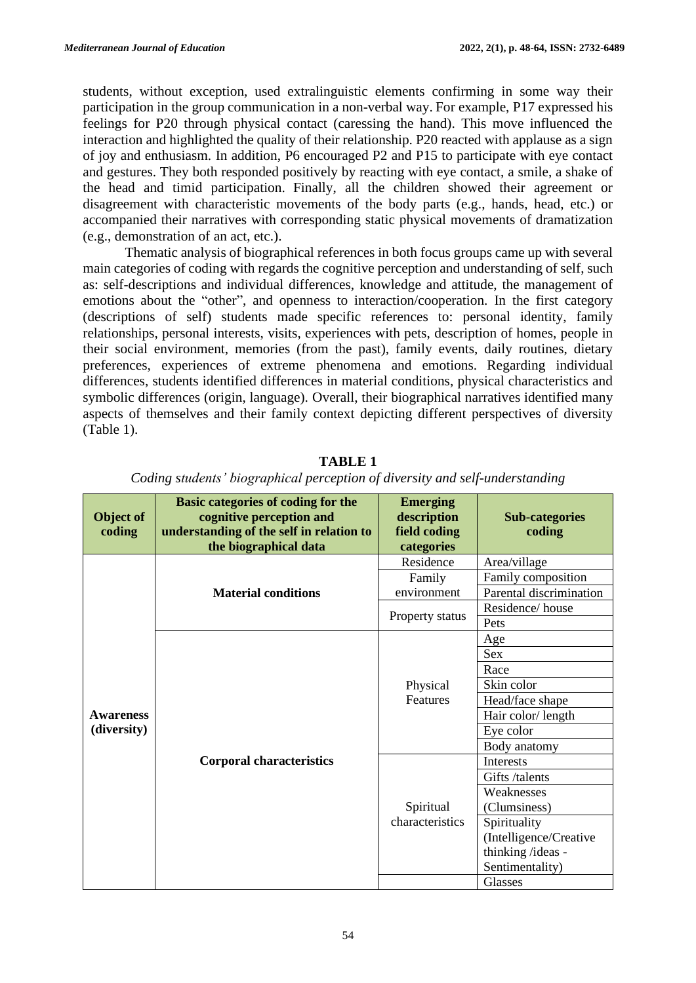students, without exception, used extralinguistic elements confirming in some way their participation in the group communication in a non-verbal way. For example, P17 expressed his feelings for P20 through physical contact (caressing the hand). This move influenced the interaction and highlighted the quality of their relationship. P20 reacted with applause as a sign of joy and enthusiasm. In addition, P6 encouraged P2 and P15 to participate with eye contact and gestures. They both responded positively by reacting with eye contact, a smile, a shake of the head and timid participation. Finally, all the children showed their agreement or disagreement with characteristic movements of the body parts (e.g., hands, head, etc.) or accompanied their narratives with corresponding static physical movements of dramatization (e.g., demonstration of an act, etc.).

Thematic analysis of biographical references in both focus groups came up with several main categories of coding with regards the cognitive perception and understanding of self, such as: self-descriptions and individual differences, knowledge and attitude, the management of emotions about the "other", and openness to interaction/cooperation. In the first category (descriptions of self) students made specific references to: personal identity, family relationships, personal interests, visits, experiences with pets, description of homes, people in their social environment, memories (from the past), family events, daily routines, dietary preferences, experiences of extreme phenomena and emotions. Regarding individual differences, students identified differences in material conditions, physical characteristics and symbolic differences (origin, language). Overall, their biographical narratives identified many aspects of themselves and their family context depicting different perspectives of diversity (Table 1).

| Object of<br>coding | Basic categories of coding for the<br>cognitive perception and<br>understanding of the self in relation to<br>the biographical data | <b>Emerging</b><br>description<br>field coding<br>categories | <b>Sub-categories</b><br>coding |
|---------------------|-------------------------------------------------------------------------------------------------------------------------------------|--------------------------------------------------------------|---------------------------------|
|                     | <b>Material conditions</b>                                                                                                          | Residence                                                    | Area/village                    |
|                     |                                                                                                                                     | Family                                                       | Family composition              |
|                     |                                                                                                                                     | environment                                                  | Parental discrimination         |
|                     |                                                                                                                                     | Property status                                              | Residence/house                 |
|                     |                                                                                                                                     |                                                              | Pets                            |
|                     | <b>Corporal characteristics</b>                                                                                                     | Physical<br>Features                                         | Age                             |
|                     |                                                                                                                                     |                                                              | <b>Sex</b>                      |
|                     |                                                                                                                                     |                                                              | Race                            |
|                     |                                                                                                                                     |                                                              | Skin color                      |
|                     |                                                                                                                                     |                                                              | Head/face shape                 |
| <b>Awareness</b>    |                                                                                                                                     |                                                              | Hair color/length               |
| (diversity)         |                                                                                                                                     |                                                              | Eye color                       |
|                     |                                                                                                                                     |                                                              | Body anatomy                    |
|                     |                                                                                                                                     |                                                              | Interests                       |
|                     |                                                                                                                                     |                                                              | Gifts /talents                  |
|                     |                                                                                                                                     |                                                              | Weaknesses                      |
|                     |                                                                                                                                     | Spiritual<br>characteristics                                 | (Clumsiness)                    |
|                     |                                                                                                                                     |                                                              | Spirituality                    |
|                     |                                                                                                                                     |                                                              | (Intelligence/Creative          |
|                     |                                                                                                                                     |                                                              | thinking /ideas -               |
|                     |                                                                                                                                     |                                                              | Sentimentality)                 |
|                     |                                                                                                                                     |                                                              | <b>Glasses</b>                  |

**TABLE 1**

|  | Coding students' biographical perception of diversity and self-understanding |  |  |  |
|--|------------------------------------------------------------------------------|--|--|--|
|  |                                                                              |  |  |  |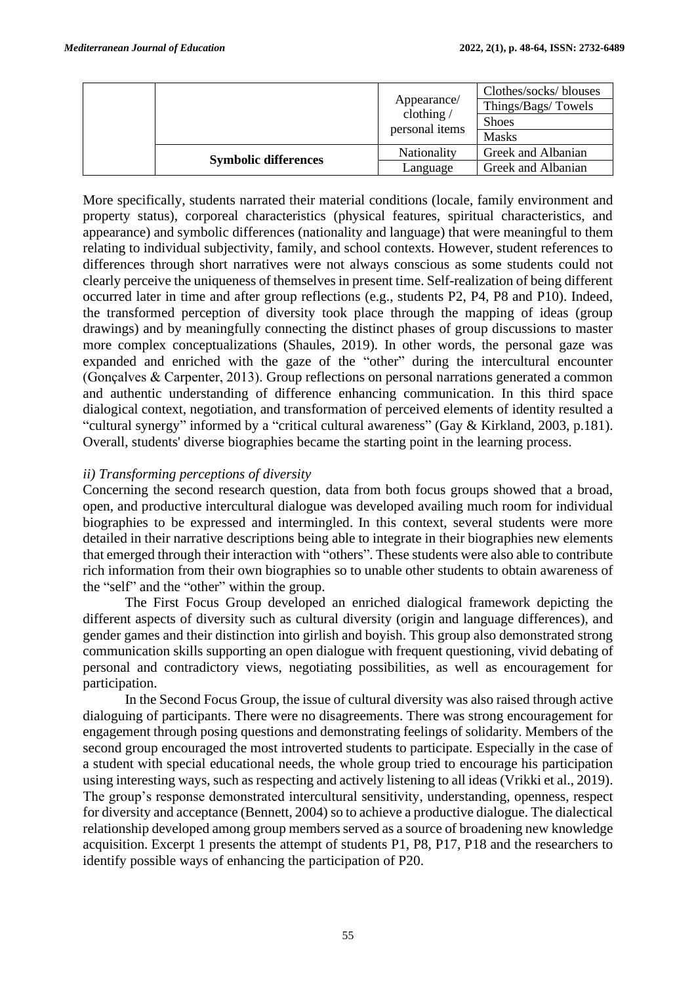|                             | Appearance/<br>clothing $/$<br>personal items | Clothes/socks/blouses<br>Things/Bags/Towels<br><b>Shoes</b><br><b>Masks</b> |
|-----------------------------|-----------------------------------------------|-----------------------------------------------------------------------------|
| <b>Symbolic differences</b> | Nationality                                   | Greek and Albanian                                                          |
|                             | Language                                      | Greek and Albanian                                                          |

More specifically, students narrated their material conditions (locale, family environment and property status), corporeal characteristics (physical features, spiritual characteristics, and appearance) and symbolic differences (nationality and language) that were meaningful to them relating to individual subjectivity, family, and school contexts. However, student references to differences through short narratives were not always conscious as some students could not clearly perceive the uniqueness of themselves in present time. Self-realization of being different occurred later in time and after group reflections (e.g., students P2, P4, P8 and P10). Indeed, the transformed perception of diversity took place through the mapping of ideas (group drawings) and by meaningfully connecting the distinct phases of group discussions to master more complex conceptualizations (Shaules, 2019). In other words, the personal gaze was expanded and enriched with the gaze of the "other" during the intercultural encounter (Gonçalves & Carpenter, 2013). Group reflections on personal narrations generated a common and authentic understanding of difference enhancing communication. In this third space dialogical context, negotiation, and transformation of perceived elements of identity resulted a "cultural synergy" informed by a "critical cultural awareness" (Gay & Kirkland, 2003, p.181). Overall, students' diverse biographies became the starting point in the learning process.

## *ii) Transforming perceptions of diversity*

Concerning the second research question, data from both focus groups showed that a broad, open, and productive intercultural dialogue was developed availing much room for individual biographies to be expressed and intermingled. In this context, several students were more detailed in their narrative descriptions being able to integrate in their biographies new elements that emerged through their interaction with "others". These students were also able to contribute rich information from their own biographies so to unable other students to obtain awareness of the "self" and the "other" within the group.

The First Focus Group developed an enriched dialogical framework depicting the different aspects of diversity such as cultural diversity (origin and language differences), and gender games and their distinction into girlish and boyish. This group also demonstrated strong communication skills supporting an open dialogue with frequent questioning, vivid debating of personal and contradictory views, negotiating possibilities, as well as encouragement for participation.

In the Second Focus Group, the issue of cultural diversity was also raised through active dialoguing of participants. There were no disagreements. There was strong encouragement for engagement through posing questions and demonstrating feelings of solidarity. Members of the second group encouraged the most introverted students to participate. Especially in the case of a student with special educational needs, the whole group tried to encourage his participation using interesting ways, such as respecting and actively listening to all ideas (Vrikki et al., 2019). The group's response demonstrated intercultural sensitivity, understanding, openness, respect for diversity and acceptance (Bennett, 2004) so to achieve a productive dialogue. The dialectical relationship developed among group members served as a source of broadening new knowledge acquisition. Excerpt 1 presents the attempt of students P1, P8, P17, P18 and the researchers to identify possible ways of enhancing the participation of P20.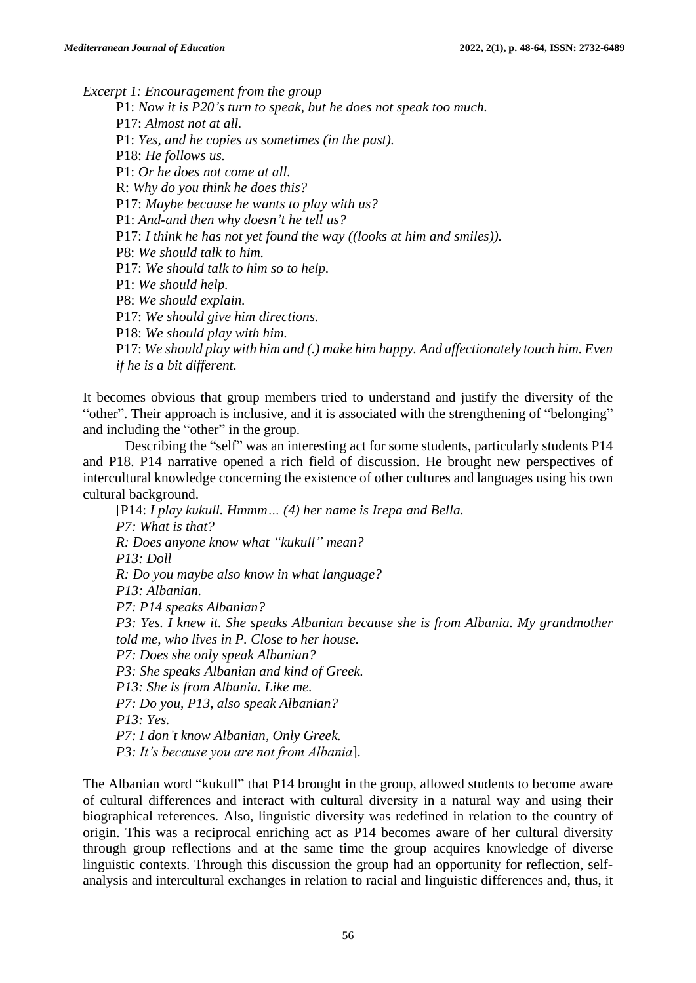*Excerpt 1: Encouragement from the group*

P1: *Now it is P20's turn to speak, but he does not speak too much.* P17: *Almost not at all.* P1: *Yes, and he copies us sometimes (in the past).* P18: *He follows us.* P1: *Or he does not come at all.* R: *Why do you think he does this?* P17: *Maybe because he wants to play with us?* P1: *And-and then why doesn't he tell us?* P17: *I think he has not yet found the way ((looks at him and smiles)).* P8: *We should talk to him.* P17: *We should talk to him so to help.* P1: *We should help.* P8: *We should explain.* P17: *We should give him directions.* P18: *We should play with him.* P17: *We should play with him and (.) make him happy. And affectionately touch him. Even if he is a bit different.*

It becomes obvious that group members tried to understand and justify the diversity of the "other". Their approach is inclusive, and it is associated with the strengthening of "belonging" and including the "other" in the group.

Describing the "self" was an interesting act for some students, particularly students P14 and P18. P14 narrative opened a rich field of discussion. He brought new perspectives of intercultural knowledge concerning the existence of other cultures and languages using his own cultural background.

[P14: *I play kukull. Hmmm… (4) her name is Irepa and Bella. P7: What is that? R: Does anyone know what "kukull" mean? P13: Doll R: Do you maybe also know in what language? P13: Albanian. P7: P14 speaks Albanian? P3: Yes. I knew it. She speaks Albanian because she is from Albania. My grandmother told me, who lives in P. Close to her house. P7: Does she only speak Albanian? P3: She speaks Albanian and kind of Greek. P13: She is from Albania. Like me. P7: Do you, P13, also speak Albanian? P13: Yes. P7: I don't know Albanian, Only Greek. P3: It's because you are not from Albania*].

The Albanian word "kukull" that P14 brought in the group, allowed students to become aware of cultural differences and interact with cultural diversity in a natural way and using their biographical references. Also, linguistic diversity was redefined in relation to the country of origin. This was a reciprocal enriching act as P14 becomes aware of her cultural diversity through group reflections and at the same time the group acquires knowledge of diverse linguistic contexts. Through this discussion the group had an opportunity for reflection, selfanalysis and intercultural exchanges in relation to racial and linguistic differences and, thus, it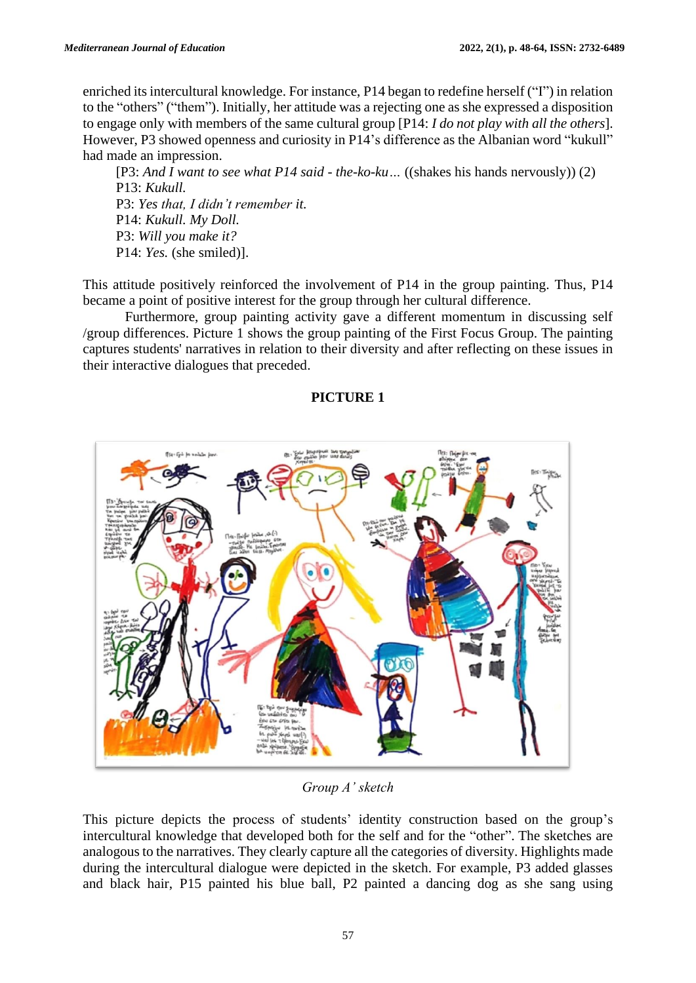enriched its intercultural knowledge. For instance, P14 began to redefine herself ("I") in relation to the "others" ("them"). Initially, her attitude was a rejecting one as she expressed a disposition to engage only with members of the same cultural group [P14: *I do not play with all the others*]. However, P3 showed openness and curiosity in P14's difference as the Albanian word "kukull" had made an impression.

[P3: *And I want to see what P14 said - the-ko-ku…* ((shakes his hands nervously)) (2) P13: *Kukull.* P3: *Yes that, I didn't remember it.* P14: *Kukull. My Doll.* P3: *Will you make it?* P14: *Yes.* (she smiled)].

This attitude positively reinforced the involvement of P14 in the group painting. Thus, P14 became a point of positive interest for the group through her cultural difference.

Furthermore, group painting activity gave a different momentum in discussing self /group differences. Picture 1 shows the group painting of the First Focus Group. The painting captures students' narratives in relation to their diversity and after reflecting on these issues in their interactive dialogues that preceded.

## **PICTURE 1**



*Group A' sketch*

This picture depicts the process of students' identity construction based on the group's intercultural knowledge that developed both for the self and for the "other". The sketches are analogous to the narratives. They clearly capture all the categories of diversity. Highlights made during the intercultural dialogue were depicted in the sketch. For example, P3 added glasses and black hair, P15 painted his blue ball, P2 painted a dancing dog as she sang using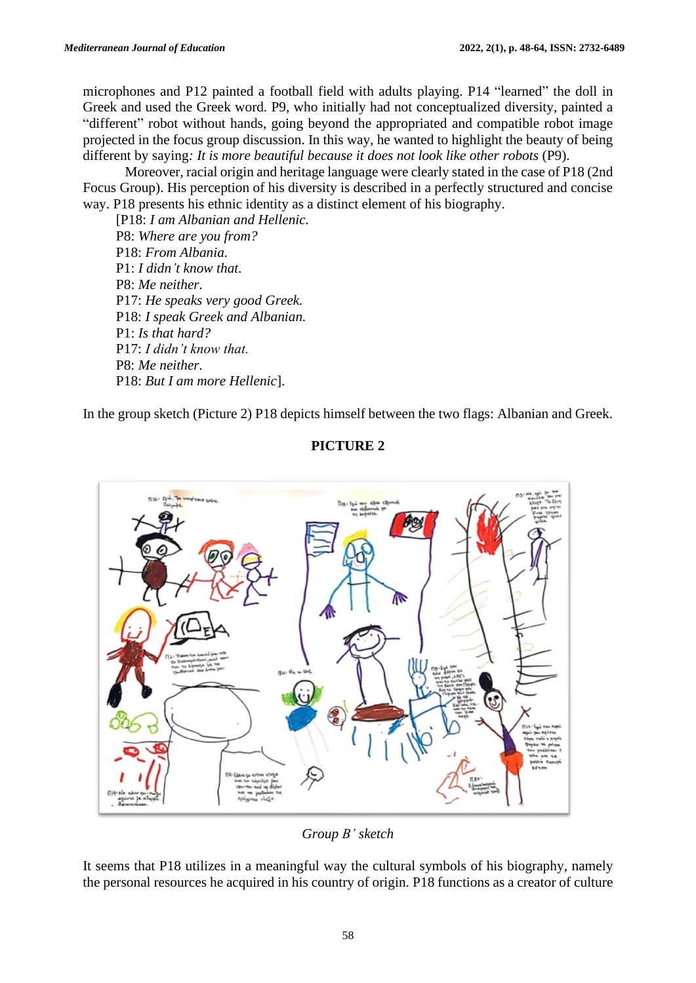microphones and P12 painted a football field with adults playing. P14 "learned" the doll in Greek and used the Greek word. P9, who initially had not conceptualized diversity, painted a "different" robot without hands, going beyond the appropriated and compatible robot image projected in the focus group discussion. In this way, he wanted to highlight the beauty of being different by saying*: It is more beautiful because it does not look like other robots* (P9).

Moreover, racial origin and heritage language were clearly stated in the case of P18 (2nd Focus Group). His perception of his diversity is described in a perfectly structured and concise way. P18 presents his ethnic identity as a distinct element of his biography.

[P18: *I am Albanian and Hellenic.* P8: *Where are you from?* P18: *From Albania.* P1: *I didn't know that.* P8: *Me neither.* P17: *He speaks very good Greek.* P18: *I speak Greek and Albanian.* P1: *Is that hard?* P17: *I didn't know that.* P8: *Me neither.* P18: *But I am more Hellenic*].

In the group sketch (Picture 2) P18 depicts himself between the two flags: Albanian and Greek.



# **PICTURE 2**

*Group B' sketch*

It seems that P18 utilizes in a meaningful way the cultural symbols of his biography, namely the personal resources he acquired in his country of origin. P18 functions as a creator of culture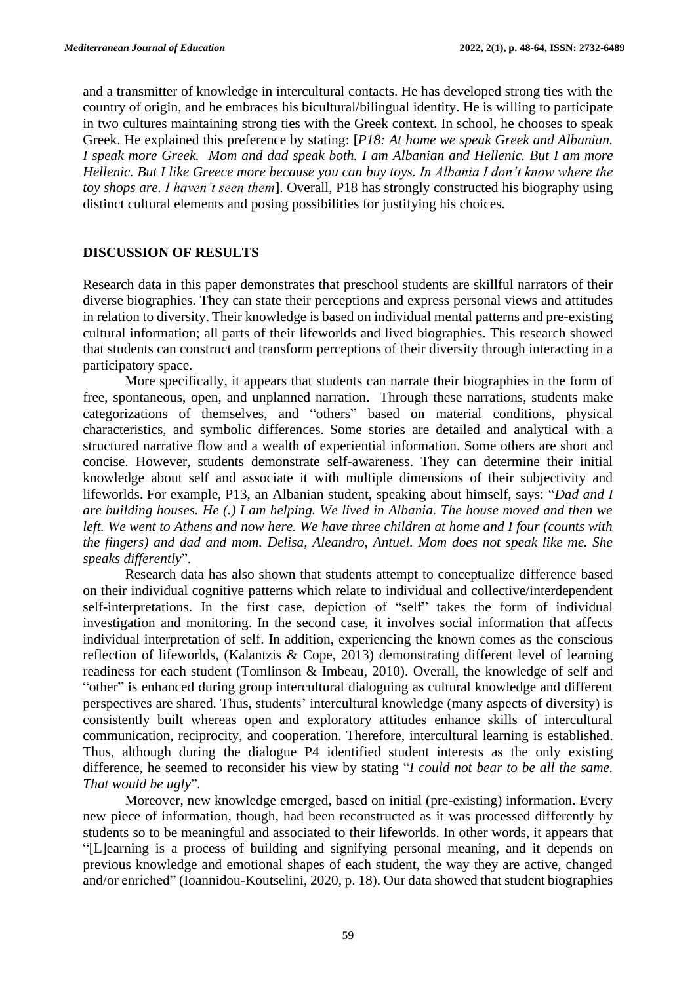and a transmitter of knowledge in intercultural contacts. He has developed strong ties with the country of origin, and he embraces his bicultural/bilingual identity. He is willing to participate in two cultures maintaining strong ties with the Greek context. In school, he chooses to speak Greek. He explained this preference by stating: [*P18: At home we speak Greek and Albanian. I speak more Greek. Mom and dad speak both. I am Albanian and Hellenic. But I am more Hellenic. But I like Greece more because you can buy toys. In Albania I don't know where the toy shops are. I haven't seen them*]. Overall, P18 has strongly constructed his biography using distinct cultural elements and posing possibilities for justifying his choices.

## **DISCUSSION OF RESULTS**

Research data in this paper demonstrates that preschool students are skillful narrators of their diverse biographies. They can state their perceptions and express personal views and attitudes in relation to diversity. Their knowledge is based on individual mental patterns and pre-existing cultural information; all parts of their lifeworlds and lived biographies. This research showed that students can construct and transform perceptions of their diversity through interacting in a participatory space.

More specifically, it appears that students can narrate their biographies in the form of free, spontaneous, open, and unplanned narration. Through these narrations, students make categorizations of themselves, and "others" based on material conditions, physical characteristics, and symbolic differences. Some stories are detailed and analytical with a structured narrative flow and a wealth of experiential information. Some others are short and concise. However, students demonstrate self-awareness. They can determine their initial knowledge about self and associate it with multiple dimensions of their subjectivity and lifeworlds. For example, P13, an Albanian student, speaking about himself, says: "*Dad and I are building houses. He (.) I am helping. We lived in Albania. The house moved and then we left. We went to Athens and now here. We have three children at home and I four (counts with the fingers) and dad and mom. Delisa, Aleandro, Antuel. Mom does not speak like me. She speaks differently*".

Research data has also shown that students attempt to conceptualize difference based on their individual cognitive patterns which relate to individual and collective/interdependent self-interpretations. In the first case, depiction of "self" takes the form of individual investigation and monitoring. In the second case, it involves social information that affects individual interpretation of self. In addition, experiencing the known comes as the conscious reflection of lifeworlds, (Kalantzis & Cope, 2013) demonstrating different level of learning readiness for each student (Tomlinson & Imbeau, 2010). Overall, the knowledge of self and "other" is enhanced during group intercultural dialoguing as cultural knowledge and different perspectives are shared. Thus, students' intercultural knowledge (many aspects of diversity) is consistently built whereas open and exploratory attitudes enhance skills of intercultural communication, reciprocity, and cooperation. Therefore, intercultural learning is established. Thus, although during the dialogue P4 identified student interests as the only existing difference, he seemed to reconsider his view by stating "*I could not bear to be all the same. That would be ugly*".

Moreover, new knowledge emerged, based on initial (pre-existing) information. Every new piece of information, though, had been reconstructed as it was processed differently by students so to be meaningful and associated to their lifeworlds. In other words, it appears that "[L]earning is a process of building and signifying personal meaning, and it depends on previous knowledge and emotional shapes of each student, the way they are active, changed and/or enriched" (Ioannidou-Koutselini, 2020, p. 18). Our data showed that student biographies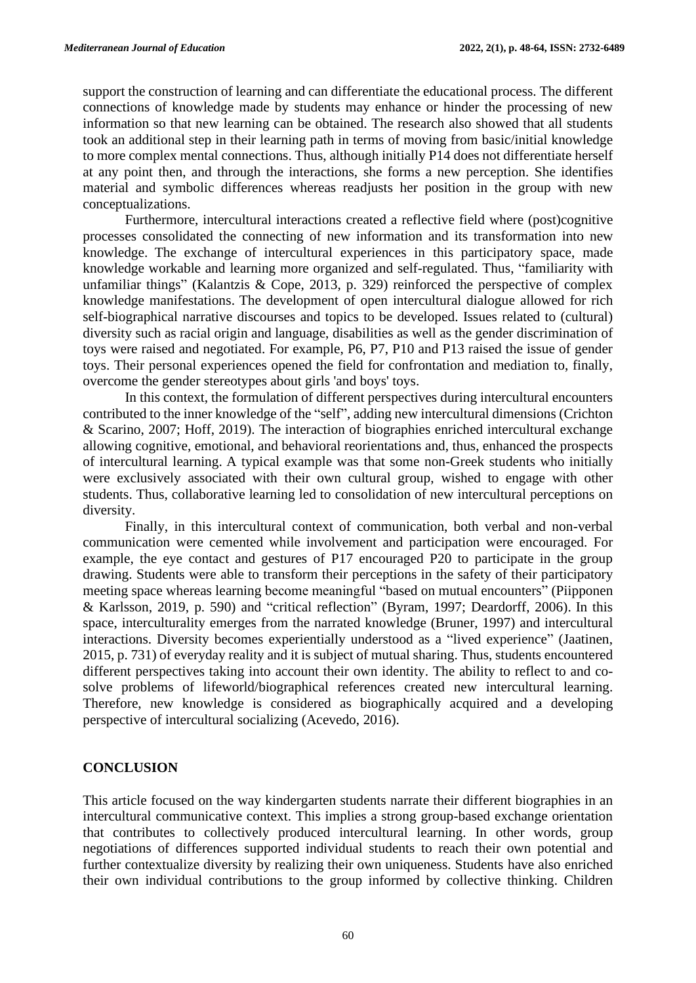support the construction of learning and can differentiate the educational process. The different connections of knowledge made by students may enhance or hinder the processing of new information so that new learning can be obtained. The research also showed that all students took an additional step in their learning path in terms of moving from basic/initial knowledge to more complex mental connections. Thus, although initially P14 does not differentiate herself at any point then, and through the interactions, she forms a new perception. She identifies material and symbolic differences whereas readjusts her position in the group with new conceptualizations.

Furthermore, intercultural interactions created a reflective field where (post)cognitive processes consolidated the connecting of new information and its transformation into new knowledge. The exchange of intercultural experiences in this participatory space, made knowledge workable and learning more organized and self-regulated. Thus, "familiarity with unfamiliar things" (Kalantzis & Cope, 2013, p. 329) reinforced the perspective of complex knowledge manifestations. The development of open intercultural dialogue allowed for rich self-biographical narrative discourses and topics to be developed. Issues related to (cultural) diversity such as racial origin and language, disabilities as well as the gender discrimination of toys were raised and negotiated. For example, P6, P7, P10 and P13 raised the issue of gender toys. Their personal experiences opened the field for confrontation and mediation to, finally, overcome the gender stereotypes about girls 'and boys' toys.

In this context, the formulation of different perspectives during intercultural encounters contributed to the inner knowledge of the "self", adding new intercultural dimensions (Crichton & Scarino, 2007; Hoff, 2019). The interaction of biographies enriched intercultural exchange allowing cognitive, emotional, and behavioral reorientations and, thus, enhanced the prospects of intercultural learning. A typical example was that some non-Greek students who initially were exclusively associated with their own cultural group, wished to engage with other students. Thus, collaborative learning led to consolidation of new intercultural perceptions on diversity.

Finally, in this intercultural context of communication, both verbal and non-verbal communication were cemented while involvement and participation were encouraged. For example, the eye contact and gestures of P17 encouraged P20 to participate in the group drawing. Students were able to transform their perceptions in the safety of their participatory meeting space whereas learning become meaningful "based on mutual encounters" (Piipponen & Karlsson, 2019, p. 590) and "critical reflection" (Byram, 1997; Deardorff, 2006). In this space, interculturality emerges from the narrated knowledge (Bruner, 1997) and intercultural interactions. Diversity becomes experientially understood as a "lived experience" (Jaatinen, 2015, p. 731) of everyday reality and it is subject of mutual sharing. Thus, students encountered different perspectives taking into account their own identity. The ability to reflect to and cosolve problems of lifeworld/biographical references created new intercultural learning. Therefore, new knowledge is considered as biographically acquired and a developing perspective of intercultural socializing (Acevedo, 2016).

#### **CONCLUSION**

This article focused on the way kindergarten students narrate their different biographies in an intercultural communicative context. This implies a strong group-based exchange orientation that contributes to collectively produced intercultural learning. In other words, group negotiations of differences supported individual students to reach their own potential and further contextualize diversity by realizing their own uniqueness. Students have also enriched their own individual contributions to the group informed by collective thinking. Children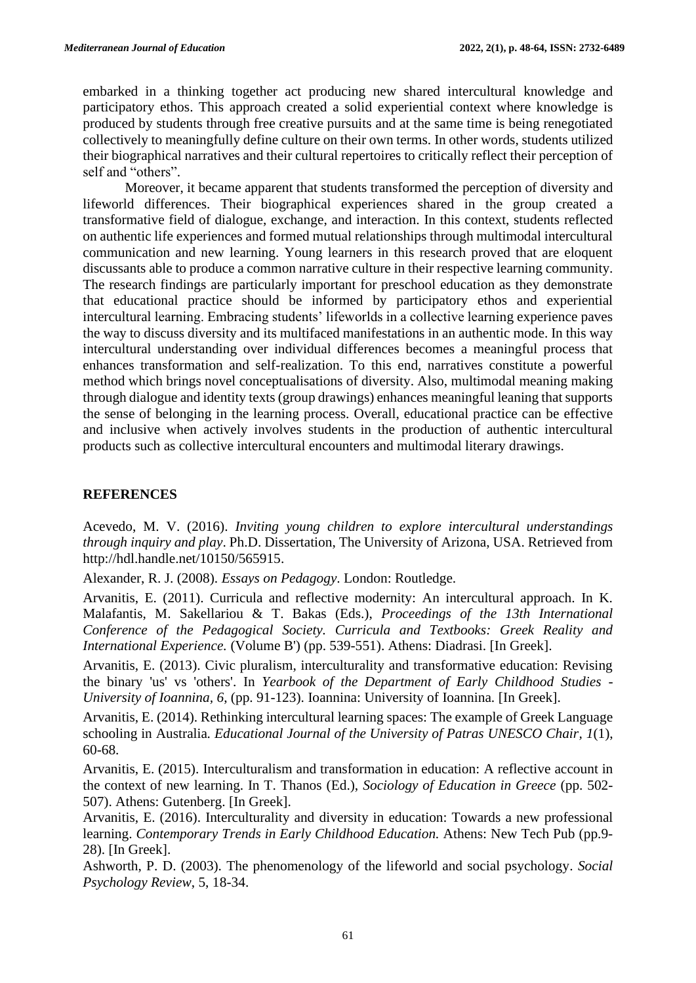embarked in a thinking together act producing new shared intercultural knowledge and participatory ethos. This approach created a solid experiential context where knowledge is produced by students through free creative pursuits and at the same time is being renegotiated collectively to meaningfully define culture on their own terms. In other words, students utilized their biographical narratives and their cultural repertoires to critically reflect their perception of self and "others".

Moreover, it became apparent that students transformed the perception of diversity and lifeworld differences. Their biographical experiences shared in the group created a transformative field of dialogue, exchange, and interaction. In this context, students reflected on authentic life experiences and formed mutual relationships through multimodal intercultural communication and new learning. Young learners in this research proved that are eloquent discussants able to produce a common narrative culture in their respective learning community. The research findings are particularly important for preschool education as they demonstrate that educational practice should be informed by participatory ethos and experiential intercultural learning. Embracing students' lifeworlds in a collective learning experience paves the way to discuss diversity and its multifaced manifestations in an authentic mode. In this way intercultural understanding over individual differences becomes a meaningful process that enhances transformation and self-realization. To this end, narratives constitute a powerful method which brings novel conceptualisations of diversity. Also, multimodal meaning making through dialogue and identity texts (group drawings) enhances meaningful leaning that supports the sense of belonging in the learning process. Overall, educational practice can be effective and inclusive when actively involves students in the production of authentic intercultural products such as collective intercultural encounters and multimodal literary drawings.

## **REFERENCES**

Acevedo, M. V. (2016). *Inviting young children to explore intercultural understandings through inquiry and play*. Ph.D. Dissertation, The University of Arizona, USA. Retrieved from [http://hdl.handle.net/10150/565915.](http://hdl.handle.net/10150/565915)

Alexander, R. J. (2008). *Essays on Pedagogy*. London: Routledge.

Arvanitis, E. (2011). Curricula and reflective modernity: An intercultural approach. In K. Malafantis, M. Sakellariou & T. Bakas (Eds.), *Proceedings of the 13th International Conference of the Pedagogical Society. Curricula and Textbooks: Greek Reality and International Experience.* (Volume B') (pp. 539-551). Athens: Diadrasi. [In Greek].

Arvanitis, E. (2013). Civic pluralism, interculturality and transformative education: Revising the binary 'us' vs 'others'. In *Yearbook of the Department of Early Childhood Studies - University of Ioannina, 6*, (pp. 91-123). Ioannina: University of Ioannina. [In Greek].

Arvanitis, E. (2014). Rethinking intercultural learning spaces: The example of Greek Language schooling in Australia*. Educational Journal of the University of Patras UNESCO Chair, 1*(1), 60-68.

Arvanitis, E. (2015). Interculturalism and transformation in education: A reflective account in the context of new learning. In T. Thanos (Ed.), *Sociology of Education in Greece* (pp. 502- 507). Athens: Gutenberg. [In Greek].

Arvanitis, E. (2016). Interculturality and diversity in education: Towards a new professional learning. *Contemporary Trends in Early Childhood Education*. Athens: New Tech Pub (pp.9-28). [In Greek].

Ashworth, P. D. (2003). The phenomenology of the lifeworld and social psychology. *Social Psychology Review*, 5, 18-34.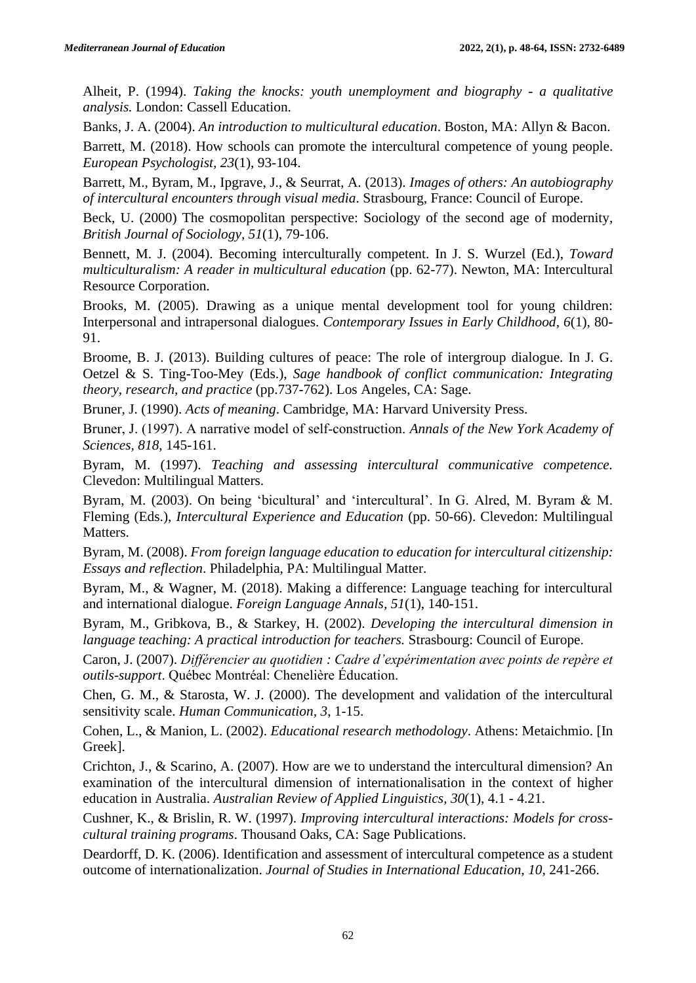Alheit, P. (1994). *Taking the knocks: youth unemployment and biography - a qualitative analysis.* London: Cassell Education.

Banks, J. A. (2004). *An introduction to multicultural education*. Boston, MA: Allyn & Bacon.

Barrett, M. (2018). How schools can promote the intercultural competence of young people. *European Psychologist, 23*(1), 93-104.

Barrett, M., Byram, M., Ipgrave, J., & Seurrat, A. (2013). *Images of others: An autobiography of intercultural encounters through visual media*. Strasbourg, France: Council of Europe.

Beck, U. (2000) The cosmopolitan perspective: Sociology of the second age of modernity, *British Journal of Sociology, 51*(1), 79-106.

Bennett, M. J. (2004). Becoming interculturally competent. In J. S. Wurzel (Ed.), *Toward multiculturalism: A reader in multicultural education* (pp. 62-77). Newton, MA: Intercultural Resource Corporation.

Brooks, M. (2005). Drawing as a unique mental development tool for young children: Interpersonal and intrapersonal dialogues. *Contemporary Issues in Early Childhood, 6*(1), 80- 91.

Broome, B. J. (2013). Building cultures of peace: The role of intergroup dialogue. In J. G. Oetzel & S. Ting-Too-Mey (Eds.), *Sage handbook of conflict communication: Integrating theory, research, and practice* (pp.737-762). Los Angeles, CA: Sage.

Bruner, J. (1990). *Acts of meaning*. Cambridge, MA: Harvard University Press.

Bruner, J. (1997). A narrative model of self‐construction. *Annals of the New York Academy of Sciences, 818*, 145-161.

Byram, M. (1997). *Teaching and assessing intercultural communicative competence.*  Clevedon: Multilingual Matters.

Byram, M. (2003). On being 'bicultural' and 'intercultural'. In G. Alred, M. Byram & M. Fleming (Eds.), *Intercultural Experience and Education* (pp. 50-66). Clevedon: Multilingual Matters.

Byram, M. (2008). *From foreign language education to education for intercultural citizenship: Essays and reflection*. Philadelphia, PA: Multilingual Matter.

Byram, M., & Wagner, M. (2018). Making a difference: Language teaching for intercultural and international dialogue. *Foreign Language Annals, 51*(1), 140-151.

Byram, M., Gribkova, B., & Starkey, H. (2002). *Developing the intercultural dimension in language teaching: A practical introduction for teachers.* Strasbourg: Council of Europe.

Caron, J. (2007). *Différencier au quotidien : Cadre d'expérimentation avec points de repère et outils-support*. Québec Montréal: Chenelière Éducation.

Chen, G. M., & Starosta, W. J. (2000). The development and validation of the intercultural sensitivity scale. *Human Communication, 3*, 1-15.

Cohen, L., & Manion, L. (2002). *Educational research methodology*. Athens: Metaichmio. [In Greek].

Crichton, J., & Scarino, A. (2007). How are we to understand the intercultural dimension? An examination of the intercultural dimension of internationalisation in the context of higher education in Australia. *Australian Review of Applied Linguistics, 30*(1), 4.1 - 4.21.

Cushner, K., & Brislin, R. W. (1997). *Improving intercultural interactions: Models for crosscultural training programs*. Thousand Oaks, CA: Sage Publications.

Deardorff, D. K. (2006). Identification and assessment of intercultural competence as a student outcome of internationalization. *Journal of Studies in International Education, 10*, 241-266.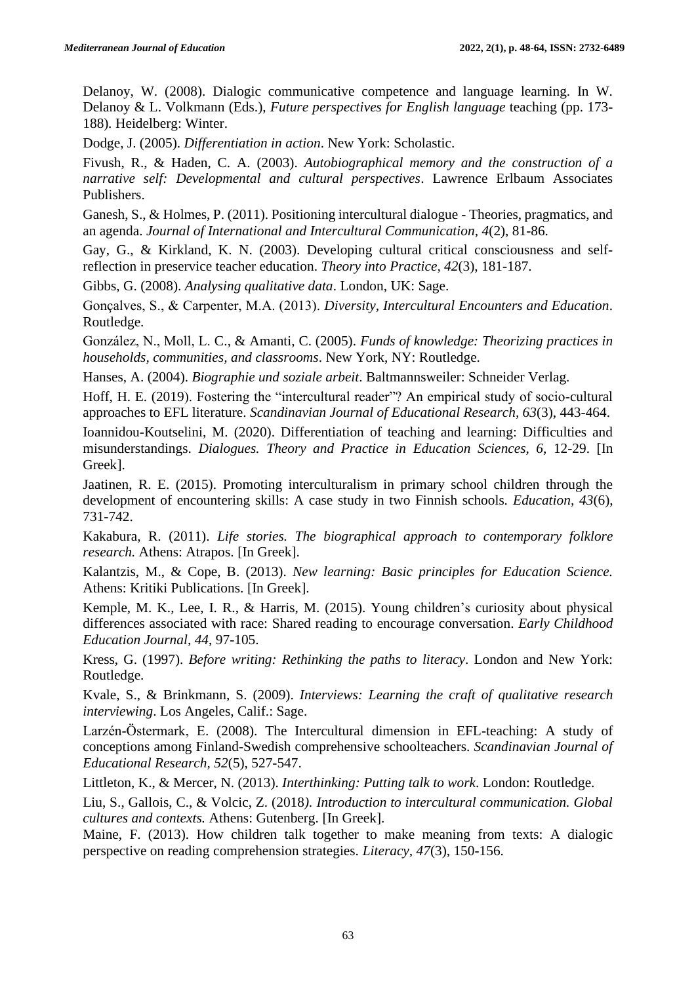Delanoy, W. (2008). Dialogic communicative competence and language learning. In W. Delanoy & L. Volkmann (Eds.), *Future perspectives for English language* teaching (pp. 173- 188)*.* Heidelberg: Winter.

Dodge, J. (2005). *Differentiation in action*. New York: Scholastic.

Fivush, R., & Haden, C. A. (2003). *Autobiographical memory and the construction of a narrative self: Developmental and cultural perspectives*. Lawrence Erlbaum Associates Publishers.

Ganesh, S., & Holmes, P. (2011). Positioning intercultural dialogue - Theories, pragmatics, and an agenda. *Journal of International and Intercultural Communication, 4*(2), 81-86.

Gay, G., & Kirkland, K. N. (2003). Developing cultural critical consciousness and selfreflection in preservice teacher education. *Theory into Practice, 42*(3), 181-187.

Gibbs, G. (2008). *Analysing qualitative data*. London, UK: Sage.

Gonçalves, S., & Carpenter, M.A. (2013). *Diversity, Intercultural Encounters and Education*. Routledge.

González, N., Moll, L. C., & Amanti, C. (2005). *Funds of knowledge: Theorizing practices in households, communities, and classrooms*. New York, NY: Routledge.

Hanses, A. (2004). *Biographie und soziale arbeit*. Baltmannsweiler: Schneider Verlag.

Hoff, H. E. (2019). Fostering the "intercultural reader"? An empirical study of socio-cultural approaches to EFL literature. *Scandinavian Journal of Educational Research, 63*(3), 443-464.

Ioannidou-Koutselini, M. (2020). Differentiation of teaching and learning: Difficulties and misunderstandings. *Dialogues. Theory and Practice in Education Sciences, 6*, 12-29. [In Greek].

Jaatinen, R. E. (2015). Promoting interculturalism in primary school children through the development of encountering skills: A case study in two Finnish schools. *Education, 43*(6), 731-742.

Kakabura, R. (2011). *Life stories. The biographical approach to contemporary folklore research.* Athens: Atrapos. [In Greek].

Kalantzis, Μ., & Cope, Β. (2013). *New learning: Basic principles for Education Science.*  Athens: Kritiki Publications. [In Greek].

Kemple, M. K., Lee, I. R., & Harris, M. (2015). Young children's curiosity about physical differences associated with race: Shared reading to encourage conversation. *Early Childhood Education Journal, 44*, 97-105.

Kress, G. (1997). *Before writing: Rethinking the paths to literacy*. London and New York: Routledge.

Kvale, S., & Brinkmann, S. (2009). *Interviews: Learning the craft of qualitative research interviewing*. Los Angeles, Calif.: Sage.

Larzén-Östermark, Ε. (2008). The Intercultural dimension in EFL-teaching: A study of conceptions among Finland-Swedish comprehensive schoolteachers. *Scandinavian Journal of Educational Research, 52*(5), 527-547.

Littleton, K., & Mercer, N. (2013). *Interthinking: Putting talk to work*. London: Routledge.

Liu, S., Gallois, C., & Volcic, Z. (2018*). Introduction to intercultural communication. Global cultures and contexts.* Athens: Gutenberg. [In Greek].

Maine, F. (2013). How children talk together to make meaning from texts: A dialogic perspective on reading comprehension strategies. *Literacy, 47*(3), 150-156.